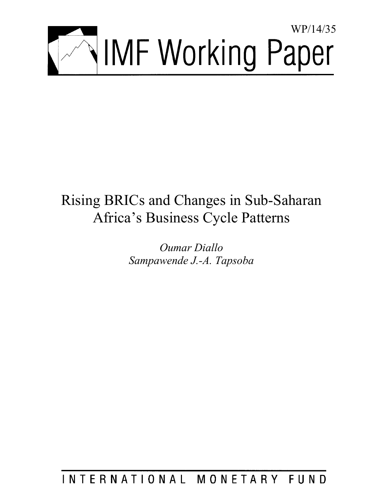

# Rising BRICs and Changes in Sub-Saharan Africa's Business Cycle Patterns

*Oumar Diallo Sampawende J.-A. Tapsoba* 

INTERNATIONAL MONETARY FUND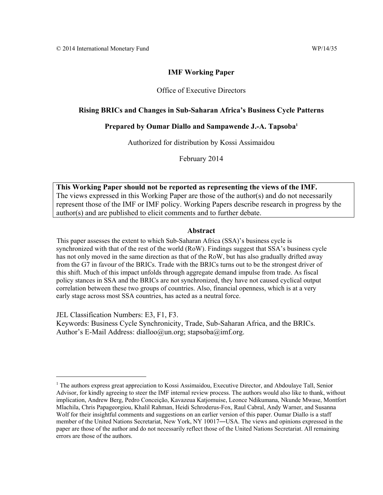## Office of Executive Directors

## **Rising BRICs and Changes in Sub-Saharan Africa's Business Cycle Patterns**

## **Prepared by Oumar Diallo and Sampawende J.-A. Tapsoba1**

Authorized for distribution by Kossi Assimaidou

February 2014

**This Working Paper should not be reported as representing the views of the IMF.**  The views expressed in this Working Paper are those of the author(s) and do not necessarily represent those of the IMF or IMF policy. Working Papers describe research in progress by the author(s) and are published to elicit comments and to further debate.

## **Abstract**

This paper assesses the extent to which Sub-Saharan Africa (SSA)'s business cycle is synchronized with that of the rest of the world (RoW). Findings suggest that SSA's business cycle has not only moved in the same direction as that of the RoW, but has also gradually drifted away from the G7 in favour of the BRICs. Trade with the BRICs turns out to be the strongest driver of this shift. Much of this impact unfolds through aggregate demand impulse from trade. As fiscal policy stances in SSA and the BRICs are not synchronized, they have not caused cyclical output correlation between these two groups of countries. Also, financial openness, which is at a very early stage across most SSA countries, has acted as a neutral force.

JEL Classification Numbers: E3, F1, F3.

Keywords: Business Cycle Synchronicity, Trade, Sub-Saharan Africa, and the BRICs. Author's E-Mail Address: dialloo@un.org; stapsoba@imf.org.

<sup>&</sup>lt;sup>1</sup> The authors express great appreciation to Kossi Assimaidou, Executive Director, and Abdoulaye Tall, Senior Advisor, for kindly agreeing to steer the IMF internal review process. The authors would also like to thank, without implication, Andrew Berg, Pedro Conceição, Kavazeua Katjomuise, Leonce Ndikumana, Nkunde Mwase, Montfort Mlachila, Chris Papageorgiou, Khalil Rahman, Heidi Schroderus-Fox, Raul Cabral, Andy Warner, and Susanna Wolf for their insightful comments and suggestions on an earlier version of this paper. Oumar Diallo is a staff member of the United Nations Secretariat, New York, NY 10017―USA. The views and opinions expressed in the paper are those of the author and do not necessarily reflect those of the United Nations Secretariat. All remaining errors are those of the authors.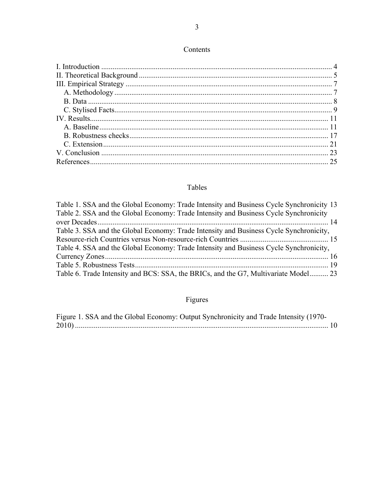# Contents

# Tables

| Table 1. SSA and the Global Economy: Trade Intensity and Business Cycle Synchronicity 13 |  |
|------------------------------------------------------------------------------------------|--|
| Table 2. SSA and the Global Economy: Trade Intensity and Business Cycle Synchronicity    |  |
|                                                                                          |  |
| Table 3. SSA and the Global Economy: Trade Intensity and Business Cycle Synchronicity,   |  |
|                                                                                          |  |
| Table 4. SSA and the Global Economy: Trade Intensity and Business Cycle Synchronicity,   |  |
|                                                                                          |  |
|                                                                                          |  |
| Table 6. Trade Intensity and BCS: SSA, the BRICs, and the G7, Multivariate Model 23      |  |
|                                                                                          |  |

# Figures

|  |  | Figure 1. SSA and the Global Economy: Output Synchronicity and Trade Intensity (1970- |  |  |  |
|--|--|---------------------------------------------------------------------------------------|--|--|--|
|  |  |                                                                                       |  |  |  |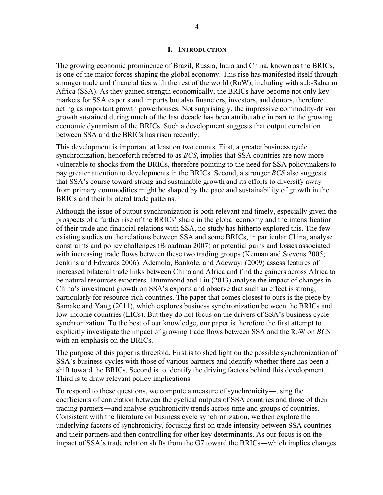#### **I. INTRODUCTION**

The growing economic prominence of Brazil, Russia, India and China, known as the BRICs, is one of the major forces shaping the global economy. This rise has manifested itself through stronger trade and financial ties with the rest of the world (RoW), including with sub-Saharan Africa (SSA). As they gained strength economically, the BRICs have become not only key markets for SSA exports and imports but also financiers, investors, and donors, therefore acting as important growth powerhouses. Not surprisingly, the impressive commodity-driven growth sustained during much of the last decade has been attributable in part to the growing economic dynamism of the BRICs. Such a development suggests that output correlation between SSA and the BRICs has risen recently.

This development is important at least on two counts. First, a greater business cycle synchronization, henceforth referred to as *BCS*, implies that SSA countries are now more vulnerable to shocks from the BRICs, therefore pointing to the need for SSA policymakers to pay greater attention to developments in the BRICs. Second, a stronger *BCS* also suggests that SSA's course toward strong and sustainable growth and its efforts to diversify away from primary commodities might be shaped by the pace and sustainability of growth in the BRICs and their bilateral trade patterns.

Although the issue of output synchronization is both relevant and timely, especially given the prospects of a further rise of the BRICs' share in the global economy and the intensification of their trade and financial relations with SSA, no study has hitherto explored this. The few existing studies on the relations between SSA and some BRICs, in particular China, analyse constraints and policy challenges (Broadman 2007) or potential gains and losses associated with increasing trade flows between these two trading groups (Kennan and Stevens 2005; Jenkins and Edwards 2006). Ademola, Bankole, and Adewuyi (2009) assess features of increased bilateral trade links between China and Africa and find the gainers across Africa to be natural resources exporters. Drummond and Liu (2013) analyse the impact of changes in China's investment growth on SSA's exports and observe that such an effect is strong, particularly for resource-rich countries. The paper that comes closest to ours is the piece by Samake and Yang (2011), which explores business synchronization between the BRICs and low-income countries (LICs). But they do not focus on the drivers of SSA's business cycle synchronization. To the best of our knowledge, our paper is therefore the first attempt to explicitly investigate the impact of growing trade flows between SSA and the RoW on *BCS* with an emphasis on the BRICs.

The purpose of this paper is threefold. First is to shed light on the possible synchronization of SSA's business cycles with those of various partners and identify whether there has been a shift toward the BRICs. Second is to identify the driving factors behind this development. Third is to draw relevant policy implications.

To respond to these questions, we compute a measure of synchronicity―using the coefficients of correlation between the cyclical outputs of SSA countries and those of their trading partners―and analyse synchronicity trends across time and groups of countries. Consistent with the literature on business cycle synchronization, we then explore the underlying factors of synchronicity, focusing first on trade intensity between SSA countries and their partners and then controlling for other key determinants. As our focus is on the impact of SSA's trade relation shifts from the G7 toward the BRICs―which implies changes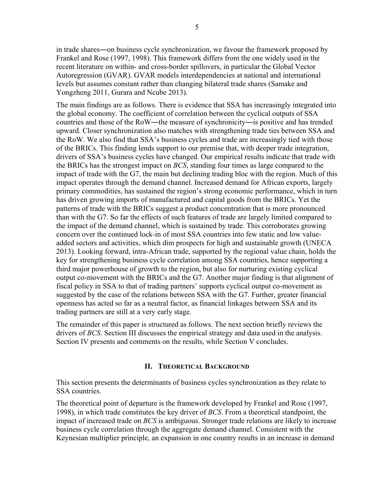in trade shares―on business cycle synchronization, we favour the framework proposed by Frankel and Rose (1997, 1998). This framework differs from the one widely used in the recent literature on within- and cross-border spillovers, in particular the Global Vector Autoregression (GVAR). GVAR models interdependencies at national and international levels but assumes constant rather than changing bilateral trade shares (Samake and Yongzheng 2011, Gurara and Ncube 2013).

The main findings are as follows. There is evidence that SSA has increasingly integrated into the global economy. The coefficient of correlation between the cyclical outputs of SSA countries and those of the RoW―the measure of synchronicity―is positive and has trended upward. Closer synchronization also matches with strengthening trade ties between SSA and the RoW. We also find that SSA's business cycles and trade are increasingly tied with those of the BRICs. This finding lends support to our premise that, with deeper trade integration, drivers of SSA's business cycles have changed. Our empirical results indicate that trade with the BRICs has the strongest impact on *BCS*, standing four times as large compared to the impact of trade with the G7, the main but declining trading bloc with the region. Much of this impact operates through the demand channel. Increased demand for African exports, largely primary commodities, has sustained the region's strong economic performance, which in turn has driven growing imports of manufactured and capital goods from the BRICs. Yet the patterns of trade with the BRICs suggest a product concentration that is more pronounced than with the G7. So far the effects of such features of trade are largely limited compared to the impact of the demand channel, which is sustained by trade. This corroborates growing concern over the continued lock-in of most SSA countries into few static and low valueadded sectors and activities, which dim prospects for high and sustainable growth (UNECA 2013). Looking forward, intra-African trade, supported by the regional value chain, holds the key for strengthening business cycle correlation among SSA countries, hence supporting a third major powerhouse of growth to the region, but also for nurturing existing cyclical output co-movement with the BRICs and the G7. Another major finding is that alignment of fiscal policy in SSA to that of trading partners' supports cyclical output co-movement as suggested by the case of the relations between SSA with the G7. Further, greater financial openness has acted so far as a neutral factor, as financial linkages between SSA and its trading partners are still at a very early stage.

The remainder of this paper is structured as follows. The next section briefly reviews the drivers of *BCS*. Section III discusses the empirical strategy and data used in the analysis. Section IV presents and comments on the results, while Section V concludes.

# **II. THEORETICAL BACKGROUND**

This section presents the determinants of business cycles synchronization as they relate to SSA countries.

The theoretical point of departure is the framework developed by Frankel and Rose (1997, 1998), in which trade constitutes the key driver of *BCS*. From a theoretical standpoint, the impact of increased trade on *BCS* is ambiguous. Stronger trade relations are likely to increase business cycle correlation through the aggregate demand channel. Consistent with the Keynesian multiplier principle, an expansion in one country results in an increase in demand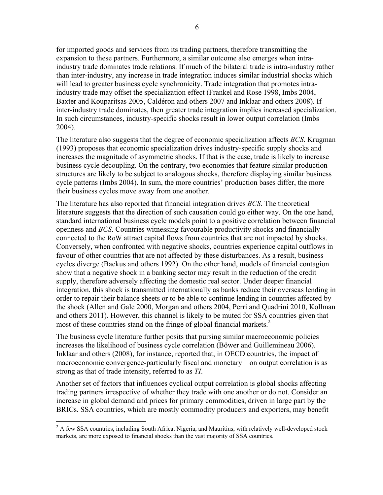for imported goods and services from its trading partners, therefore transmitting the expansion to these partners. Furthermore, a similar outcome also emerges when intraindustry trade dominates trade relations. If much of the bilateral trade is intra-industry rather than inter-industry, any increase in trade integration induces similar industrial shocks which will lead to greater business cycle synchronicity. Trade integration that promotes intraindustry trade may offset the specialization effect (Frankel and Rose 1998, Imbs 2004, Baxter and Kouparitsas 2005, Caldéron and others 2007 and Inklaar and others 2008). If inter-industry trade dominates, then greater trade integration implies increased specialization. In such circumstances, industry-specific shocks result in lower output correlation (Imbs 2004).

The literature also suggests that the degree of economic specialization affects *BCS*. Krugman (1993) proposes that economic specialization drives industry-specific supply shocks and increases the magnitude of asymmetric shocks. If that is the case, trade is likely to increase business cycle decoupling. On the contrary, two economies that feature similar production structures are likely to be subject to analogous shocks, therefore displaying similar business cycle patterns (Imbs 2004). In sum, the more countries' production bases differ, the more their business cycles move away from one another.

The literature has also reported that financial integration drives *BCS*. The theoretical literature suggests that the direction of such causation could go either way. On the one hand, standard international business cycle models point to a positive correlation between financial openness and *BCS*. Countries witnessing favourable productivity shocks and financially connected to the RoW attract capital flows from countries that are not impacted by shocks. Conversely, when confronted with negative shocks, countries experience capital outflows in favour of other countries that are not affected by these disturbances. As a result, business cycles diverge (Backus and others 1992). On the other hand, models of financial contagion show that a negative shock in a banking sector may result in the reduction of the credit supply, therefore adversely affecting the domestic real sector. Under deeper financial integration, this shock is transmitted internationally as banks reduce their overseas lending in order to repair their balance sheets or to be able to continue lending in countries affected by the shock (Allen and Gale 2000, Morgan and others 2004, Perri and Quadrini 2010, Kollman and others 2011). However, this channel is likely to be muted for SSA countries given that most of these countries stand on the fringe of global financial markets.<sup>2</sup>

The business cycle literature further posits that pursing similar macroeconomic policies increases the likelihood of business cycle correlation (Böwer and Guillemineau 2006). Inklaar and others (2008), for instance, reported that, in OECD countries, the impact of macroeconomic convergence-particularly fiscal and monetary—on output correlation is as strong as that of trade intensity, referred to as *TI*.

Another set of factors that influences cyclical output correlation is global shocks affecting trading partners irrespective of whether they trade with one another or do not. Consider an increase in global demand and prices for primary commodities, driven in large part by the BRICs. SSA countries, which are mostly commodity producers and exporters, may benefit

<sup>&</sup>lt;sup>2</sup> A few SSA countries, including South Africa, Nigeria, and Mauritius, with relatively well-developed stock markets, are more exposed to financial shocks than the vast majority of SSA countries.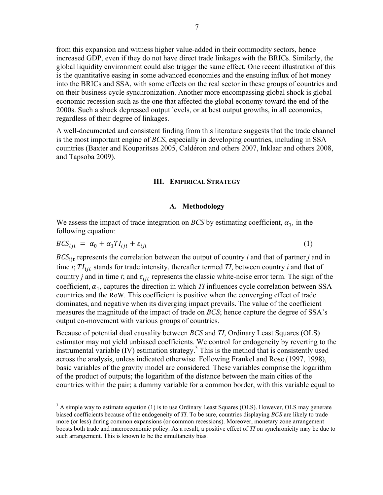from this expansion and witness higher value-added in their commodity sectors, hence increased GDP, even if they do not have direct trade linkages with the BRICs. Similarly, the global liquidity environment could also trigger the same effect. One recent illustration of this is the quantitative easing in some advanced economies and the ensuing influx of hot money into the BRICs and SSA, with some effects on the real sector in these groups of countries and on their business cycle synchronization. Another more encompassing global shock is global economic recession such as the one that affected the global economy toward the end of the 2000s. Such a shock depressed output levels, or at best output growths, in all economies, regardless of their degree of linkages.

A well-documented and consistent finding from this literature suggests that the trade channel is the most important engine of *BCS*, especially in developing countries, including in SSA countries (Baxter and Kouparitsas 2005, Caldéron and others 2007, Inklaar and others 2008, and Tapsoba 2009).

#### **III. EMPIRICAL STRATEGY**

### **A. Methodology**

We assess the impact of trade integration on *BCS* by estimating coefficient,  $\alpha_1$ , in the following equation:

$$
BCS_{ijt} = \alpha_0 + \alpha_1 T I_{ijt} + \varepsilon_{ijt} \tag{1}
$$

BCS<sub>iit</sub> represents the correlation between the output of country *i* and that of partner *j* and in time  $t$ ;  $TI_{ijt}$  stands for trade intensity, thereafter termed  $TI$ , between country  $i$  and that of country *j* and in time *t*; and  $\varepsilon_{ijt}$  represents the classic white-noise error term. The sign of the coefficient,  $\alpha_1$ , captures the direction in which *TI* influences cycle correlation between SSA countries and the RoW. This coefficient is positive when the converging effect of trade dominates, and negative when its diverging impact prevails. The value of the coefficient measures the magnitude of the impact of trade on *BCS*; hence capture the degree of SSA's output co-movement with various groups of countries.

Because of potential dual causality between *BCS* and *TI*, Ordinary Least Squares (OLS) estimator may not yield unbiased coefficients. We control for endogeneity by reverting to the instrumental variable (IV) estimation strategy.<sup>3</sup> This is the method that is consistently used across the analysis, unless indicated otherwise. Following Frankel and Rose (1997, 1998), basic variables of the gravity model are considered. These variables comprise the logarithm of the product of outputs; the logarithm of the distance between the main cities of the countries within the pair; a dummy variable for a common border, with this variable equal to

 $3$  A simple way to estimate equation (1) is to use Ordinary Least Squares (OLS). However, OLS may generate biased coefficients because of the endogeneity of *TI*. To be sure, countries displaying *BCS* are likely to trade more (or less) during common expansions (or common recessions). Moreover, monetary zone arrangement boosts both trade and macroeconomic policy. As a result, a positive effect of *TI* on synchronicity may be due to such arrangement. This is known to be the simultaneity bias.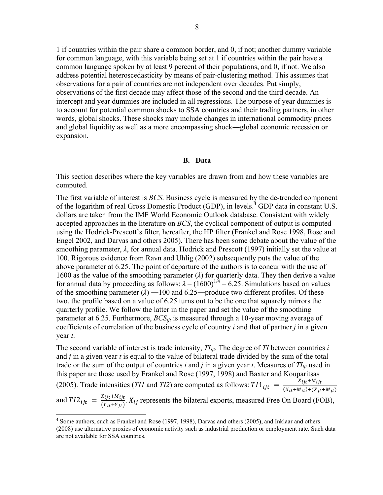1 if countries within the pair share a common border, and 0, if not; another dummy variable for common language, with this variable being set at 1 if countries within the pair have a common language spoken by at least 9 percent of their populations, and 0, if not. We also address potential heteroscedasticity by means of pair-clustering method. This assumes that observations for a pair of countries are not independent over decades. Put simply, observations of the first decade may affect those of the second and the third decade. An intercept and year dummies are included in all regressions. The purpose of year dummies is to account for potential common shocks to SSA countries and their trading partners, in other words, global shocks. These shocks may include changes in international commodity prices and global liquidity as well as a more encompassing shock―global economic recession or expansion.

#### **B. Data**

This section describes where the key variables are drawn from and how these variables are computed.

The first variable of interest is *BCS*. Business cycle is measured by the de-trended component of the logarithm of real Gross Domestic Product (GDP), in levels.<sup>4</sup> GDP data in constant U.S. dollars are taken from the IMF World Economic Outlook database. Consistent with widely accepted approaches in the literature on *BCS*, the cyclical component of output is computed using the Hodrick-Prescott's filter, hereafter, the HP filter (Frankel and Rose 1998, Rose and Engel 2002, and Darvas and others 2005). There has been some debate about the value of the smoothing parameter, *λ*, for annual data. Hodrick and Prescott (1997) initially set the value at 100. Rigorous evidence from Ravn and Uhlig (2002) subsequently puts the value of the above parameter at 6.25. The point of departure of the authors is to concur with the use of 1600 as the value of the smoothing parameter (*λ*) for quarterly data. They then derive a value for annual data by proceeding as follows:  $\lambda = (1600)^{1/4} = 6.25$ . Simulations based on values of the smoothing parameter  $(\lambda)$  —100 and 6.25—produce two different profiles. Of these two, the profile based on a value of 6.25 turns out to be the one that squarely mirrors the quarterly profile. We follow the latter in the paper and set the value of the smoothing parameter at 6.25. Furthermore, *BCSijt* is measured through a 10-year moving average of coefficients of correlation of the business cycle of country *i* and that of partner *j* in a given year *t*.

The second variable of interest is trade intensity,  $T_{ijt}$ . The degree of *TI* between countries *i* and *j* in a given year *t* is equal to the value of bilateral trade divided by the sum of the total trade or the sum of the output of countries  $i$  and  $j$  in a given year  $t$ . Measures of  $TI_{ii}$  used in this paper are those used by Frankel and Rose (1997, 1998) and Baxter and Kouparitsas (2005). Trade intensities (*TI1* and *TI2*) are computed as follows:  $T11_{ijt} = \frac{X_{ijt} + M_{ijt}}{(X_{ij} + M_{ij}) + (X_{ij})}$  $(X_{it}+M_{it})+(X_{jt}+M_{jt})$ and  $T I2_{ijt} = \frac{X_{ijt} + M_{ijt}}{(Y_{ij} + Y_{ij})}$  $\frac{\lambda_{ijt} + \mu_{ijt}}{(Y_{it} + Y_{jt})}$ .  $X_{ij}$  represents the bilateral exports, measured Free On Board (FOB),

<sup>&</sup>lt;sup>4</sup> Some authors, such as Frankel and Rose (1997, 1998), Darvas and others (2005), and Inklaar and others (2008) use alternative proxies of economic activity such as industrial production or employment rate. Such data are not available for SSA countries.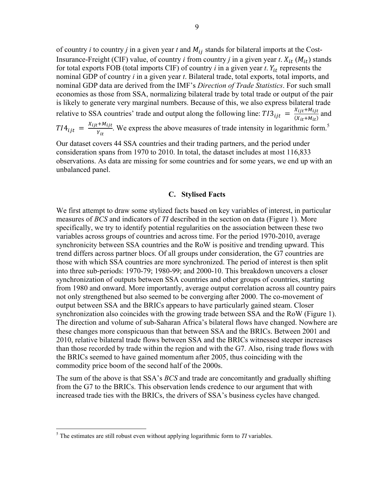of country *i* to country *j* in a given year *t* and  $M_{ij}$  stands for bilateral imports at the Cost-Insurance-Freight (CIF) value, of country *i* from country *j* in a given year *t*.  $X_{it}$  ( $M_{it}$ ) stands for total exports FOB (total imports CIF) of country  $i$  in a given year  $t$ .  $Y_{it}$  represents the nominal GDP of country *i* in a given year *t*. Bilateral trade, total exports, total imports, and nominal GDP data are derived from the IMF's *Direction of Trade Statistics*. For such small economies as those from SSA, normalizing bilateral trade by total trade or output of the pair is likely to generate very marginal numbers. Because of this, we also express bilateral trade relative to SSA countries' trade and output along the following line:  $TI3_{ijt} = \frac{X_{ijt} + M_{ijt}}{(X_{ijt} + M_{ijt})}$  $\frac{X_{ijt} + M_{ijt}}{(X_{it} + M_{it})}$  and  $T I4_{ijt} = \frac{X_{ijt} + M_{ijt}}{V}$  $\frac{e^{+M}U_{i}}{Y_{i}}$ . We express the above measures of trade intensity in logarithmic form.<sup>5</sup>

Our dataset covers 44 SSA countries and their trading partners, and the period under consideration spans from 1970 to 2010. In total, the dataset includes at most 116,833 observations. As data are missing for some countries and for some years, we end up with an unbalanced panel.

## **C. Stylised Facts**

We first attempt to draw some stylized facts based on key variables of interest, in particular measures of *BCS* and indicators of *TI* described in the section on data (Figure 1). More specifically, we try to identify potential regularities on the association between these two variables across groups of countries and across time. For the period 1970-2010, average synchronicity between SSA countries and the RoW is positive and trending upward. This trend differs across partner blocs. Of all groups under consideration, the G7 countries are those with which SSA countries are more synchronized. The period of interest is then split into three sub-periods: 1970-79; 1980-99; and 2000-10. This breakdown uncovers a closer synchronization of outputs between SSA countries and other groups of countries, starting from 1980 and onward. More importantly, average output correlation across all country pairs not only strengthened but also seemed to be converging after 2000. The co-movement of output between SSA and the BRICs appears to have particularly gained steam. Closer synchronization also coincides with the growing trade between SSA and the RoW (Figure 1). The direction and volume of sub-Saharan Africa's bilateral flows have changed. Nowhere are these changes more conspicuous than that between SSA and the BRICs. Between 2001 and 2010, relative bilateral trade flows between SSA and the BRICs witnessed steeper increases than those recorded by trade within the region and with the G7. Also, rising trade flows with the BRICs seemed to have gained momentum after 2005, thus coinciding with the commodity price boom of the second half of the 2000s.

The sum of the above is that SSA's *BCS* and trade are concomitantly and gradually shifting from the G7 to the BRICs. This observation lends credence to our argument that with increased trade ties with the BRICs, the drivers of SSA's business cycles have changed.

 5 The estimates are still robust even without applying logarithmic form to *TI* variables.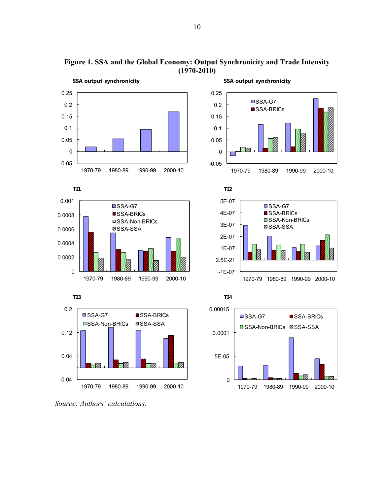

**Figure 1. SSA and the Global Economy: Output Synchronicity and Trade Intensity (1970-2010)** 



**SSA output synchronicity** 













*Source: Authors' calculations.*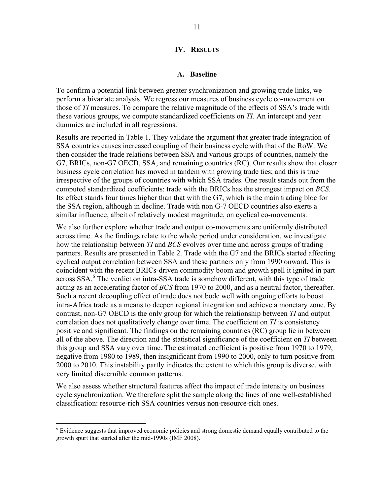#### **IV. RESULTS**

#### **A. Baseline**

To confirm a potential link between greater synchronization and growing trade links, we perform a bivariate analysis. We regress our measures of business cycle co-movement on those of *TI* measures. To compare the relative magnitude of the effects of SSA's trade with these various groups, we compute standardized coefficients on *TI*. An intercept and year dummies are included in all regressions.

Results are reported in Table 1. They validate the argument that greater trade integration of SSA countries causes increased coupling of their business cycle with that of the RoW. We then consider the trade relations between SSA and various groups of countries, namely the G7, BRICs, non-G7 OECD, SSA, and remaining countries (RC). Our results show that closer business cycle correlation has moved in tandem with growing trade ties; and this is true irrespective of the groups of countries with which SSA trades. One result stands out from the computed standardized coefficients: trade with the BRICs has the strongest impact on *BCS*. Its effect stands four times higher than that with the G7, which is the main trading bloc for the SSA region, although in decline. Trade with non G-7 OECD countries also exerts a similar influence, albeit of relatively modest magnitude, on cyclical co-movements.

We also further explore whether trade and output co-movements are uniformly distributed across time. As the findings relate to the whole period under consideration, we investigate how the relationship between *TI* and *BCS* evolves over time and across groups of trading partners. Results are presented in Table 2. Trade with the G7 and the BRICs started affecting cyclical output correlation between SSA and these partners only from 1990 onward. This is coincident with the recent BRICs-driven commodity boom and growth spell it ignited in part across SSA.<sup>6</sup> The verdict on intra-SSA trade is somehow different, with this type of trade acting as an accelerating factor of *BCS* from 1970 to 2000, and as a neutral factor, thereafter. Such a recent decoupling effect of trade does not bode well with ongoing efforts to boost intra-Africa trade as a means to deepen regional integration and achieve a monetary zone. By contrast, non-G7 OECD is the only group for which the relationship between *TI* and output correlation does not qualitatively change over time. The coefficient on *TI* is consistency positive and significant. The findings on the remaining countries (RC) group lie in between all of the above. The direction and the statistical significance of the coefficient on *TI* between this group and SSA vary over time. The estimated coefficient is positive from 1970 to 1979, negative from 1980 to 1989, then insignificant from 1990 to 2000, only to turn positive from 2000 to 2010. This instability partly indicates the extent to which this group is diverse, with very limited discernible common patterns.

We also assess whether structural features affect the impact of trade intensity on business cycle synchronization. We therefore split the sample along the lines of one well-established classification: resource-rich SSA countries versus non-resource-rich ones.

<sup>&</sup>lt;sup>6</sup> Evidence suggests that improved economic policies and strong domestic demand equally contributed to the growth spurt that started after the mid-1990s (IMF 2008).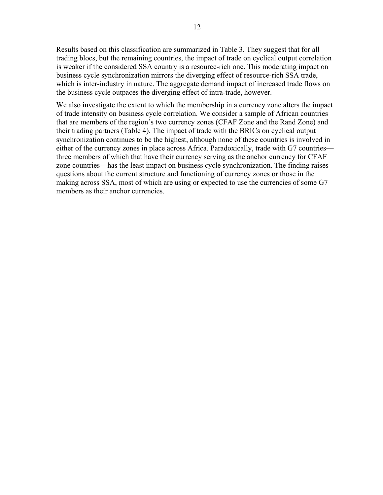Results based on this classification are summarized in Table 3. They suggest that for all trading blocs, but the remaining countries, the impact of trade on cyclical output correlation is weaker if the considered SSA country is a resource-rich one. This moderating impact on business cycle synchronization mirrors the diverging effect of resource-rich SSA trade, which is inter-industry in nature. The aggregate demand impact of increased trade flows on the business cycle outpaces the diverging effect of intra-trade, however.

We also investigate the extent to which the membership in a currency zone alters the impact of trade intensity on business cycle correlation. We consider a sample of African countries that are members of the region's two currency zones (CFAF Zone and the Rand Zone) and their trading partners (Table 4). The impact of trade with the BRICs on cyclical output synchronization continues to be the highest, although none of these countries is involved in either of the currency zones in place across Africa. Paradoxically, trade with G7 countries three members of which that have their currency serving as the anchor currency for CFAF zone countries—has the least impact on business cycle synchronization. The finding raises questions about the current structure and functioning of currency zones or those in the making across SSA, most of which are using or expected to use the currencies of some G7 members as their anchor currencies.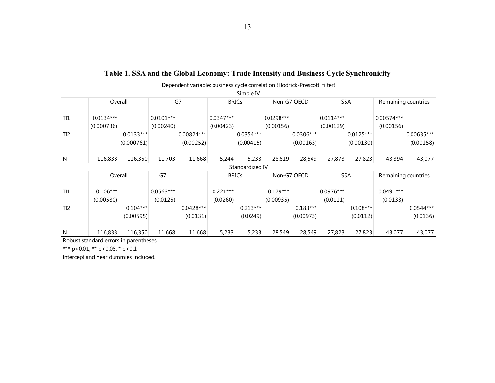|                 |                           |             |                          | Dependent variable: business cycle correlation (Hodrick-Prescott filter) |                          |                 |                          |             |                          |             |                           |             |
|-----------------|---------------------------|-------------|--------------------------|--------------------------------------------------------------------------|--------------------------|-----------------|--------------------------|-------------|--------------------------|-------------|---------------------------|-------------|
|                 |                           |             |                          |                                                                          |                          | Simple IV       |                          |             |                          |             |                           |             |
|                 | Overall                   |             | G7                       |                                                                          |                          | <b>BRICs</b>    | Non-G7 OECD              |             | <b>SSA</b>               |             | Remaining countries       |             |
| TI1             | $0.0134***$<br>(0.000736) |             | $0.0101***$<br>(0.00240) |                                                                          | $0.0347***$<br>(0.00423) |                 | $0.0298***$<br>(0.00156) |             | $0.0114***$<br>(0.00129) |             | $0.00574***$<br>(0.00156) |             |
| TI <sub>2</sub> |                           | $0.0133***$ |                          | 0.00824***                                                               |                          | 0.0354***       |                          | $0.0306***$ |                          | $0.0125***$ |                           | 0.00635***  |
|                 |                           | (0.000761)  |                          | (0.00252)                                                                |                          | (0.00415)       |                          | (0.00163)   |                          | (0.00130)   |                           | (0.00158)   |
| N               | 116,833                   | 116,350     | 11,703                   | 11,668                                                                   | 5,244                    | 5,233           | 28,619                   | 28,549      | 27,873                   | 27,823      | 43,394                    | 43,077      |
|                 |                           |             |                          |                                                                          |                          | Standardized IV |                          |             |                          |             |                           |             |
|                 | Overall                   |             | G7                       |                                                                          | <b>BRICs</b>             |                 | Non-G7 OECD              |             | <b>SSA</b>               |             | Remaining countries       |             |
| TI1             | $0.106***$<br>(0.00580)   |             | $0.0563***$<br>(0.0125)  |                                                                          | $0.221***$<br>(0.0260)   |                 | $0.179***$<br>(0.00935)  |             | $0.0976***$<br>(0.0111)  |             | $0.0491***$<br>(0.0133)   |             |
| TI <sub>2</sub> |                           | $0.104***$  |                          | $0.0428***$                                                              |                          | $0.213***$      |                          | $0.183***$  |                          | $0.108***$  |                           | $0.0544***$ |
|                 |                           | (0.00595)   |                          | (0.0131)                                                                 |                          | (0.0249)        |                          | (0.00973)   |                          | (0.0112)    |                           | (0.0136)    |
| N               | 116,833                   | 116,350     | 11,668                   | 11,668                                                                   | 5,233                    | 5,233           | 28,549                   | 28,549      | 27,823                   | 27,823      | 43,077                    | 43,077      |

# **Table 1. SSA and the Global Economy: Trade Intensity and Business Cycle Synchronicity**

Robust standard errors in parentheses

\*\*\* p<0.01, \*\* p<0.05, \* p<0.1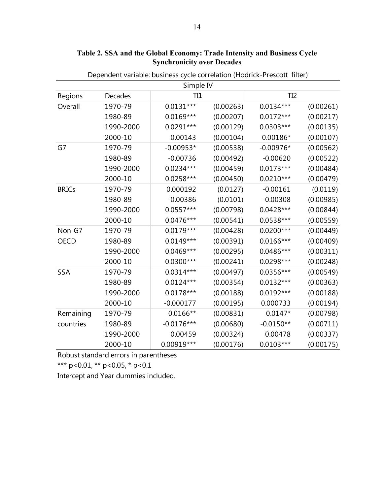|              |           | Simple IV    |           |                 |           |
|--------------|-----------|--------------|-----------|-----------------|-----------|
| Regions      | Decades   | TI1          |           | TI <sub>2</sub> |           |
| Overall      | 1970-79   | $0.0131***$  | (0.00263) | $0.0134***$     | (0.00261) |
|              | 1980-89   | $0.0169***$  | (0.00207) | $0.0172***$     | (0.00217) |
|              | 1990-2000 | $0.0291***$  | (0.00129) | $0.0303***$     | (0.00135) |
|              | 2000-10   | 0.00143      | (0.00104) | 0.00186*        | (0.00107) |
| G7           | 1970-79   | $-0.00953*$  | (0.00538) | $-0.00976*$     | (0.00562) |
|              | 1980-89   | $-0.00736$   | (0.00492) | $-0.00620$      | (0.00522) |
|              | 1990-2000 | $0.0234***$  | (0.00459) | $0.0173***$     | (0.00484) |
|              | 2000-10   | $0.0258***$  | (0.00450) | $0.0210***$     | (0.00479) |
| <b>BRICs</b> | 1970-79   | 0.000192     | (0.0127)  | $-0.00161$      | (0.0119)  |
|              | 1980-89   | $-0.00386$   | (0.0101)  | $-0.00308$      | (0.00985) |
|              | 1990-2000 | 0.0557***    | (0.00798) | $0.0428***$     | (0.00844) |
|              | 2000-10   | 0.0476***    | (0.00541) | 0.0538***       | (0.00559) |
| Non-G7       | 1970-79   | $0.0179***$  | (0.00428) | $0.0200***$     | (0.00449) |
| <b>OECD</b>  | 1980-89   | $0.0149***$  | (0.00391) | $0.0166***$     | (0.00409) |
|              | 1990-2000 | $0.0469***$  | (0.00295) | 0.0486***       | (0.00311) |
|              | 2000-10   | $0.0300***$  | (0.00241) | 0.0298***       | (0.00248) |
| SSA          | 1970-79   | $0.0314***$  | (0.00497) | 0.0356***       | (0.00549) |
|              | 1980-89   | $0.0124***$  | (0.00354) | $0.0132***$     | (0.00363) |
|              | 1990-2000 | $0.0178***$  | (0.00188) | 0.0192***       | (0.00188) |
|              | 2000-10   | $-0.000177$  | (0.00195) | 0.000733        | (0.00194) |
| Remaining    | 1970-79   | $0.0166**$   | (0.00831) | $0.0147*$       | (0.00798) |
| countries    | 1980-89   | $-0.0176***$ | (0.00680) | $-0.0150**$     | (0.00711) |
|              | 1990-2000 | 0.00459      | (0.00324) | 0.00478         | (0.00337) |
|              | 2000-10   | 0.00919***   | (0.00176) | $0.0103***$     | (0.00175) |

**Table 2. SSA and the Global Economy: Trade Intensity and Business Cycle Synchronicity over Decades** 

Dependent variable: business cycle correlation (Hodrick-Prescott filter)

Robust standard errors in parentheses

\*\*\* p<0.01, \*\* p<0.05, \* p<0.1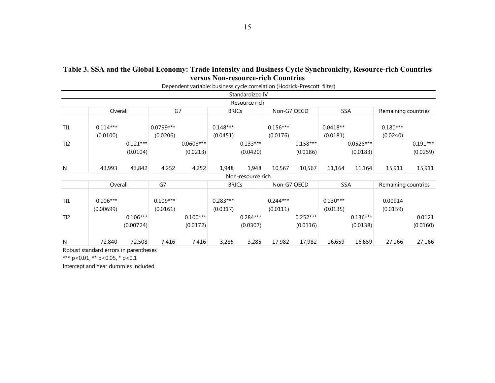|                 |                         |                         |                         | Dependent variable: business cycle correlation (Hodrick-Prescott filter) |                        |                        |                        |                        |                        |                         |                        |                        |
|-----------------|-------------------------|-------------------------|-------------------------|--------------------------------------------------------------------------|------------------------|------------------------|------------------------|------------------------|------------------------|-------------------------|------------------------|------------------------|
|                 |                         |                         |                         |                                                                          |                        | Standardized IV        |                        |                        |                        |                         |                        |                        |
|                 |                         |                         |                         |                                                                          |                        | Resource rich          |                        |                        |                        |                         |                        |                        |
|                 | Overall                 |                         | G7                      |                                                                          | <b>BRICs</b>           |                        | Non-G7 OECD            |                        | <b>SSA</b>             |                         | Remaining countries    |                        |
| TI1             | $0.114***$<br>(0.0100)  |                         | $0.0799***$<br>(0.0206) |                                                                          | $0.148***$<br>(0.0451) |                        | $0.156***$<br>(0.0176) |                        | $0.0418**$<br>(0.0181) |                         | $0.180***$<br>(0.0240) |                        |
| TI <sub>2</sub> |                         | $0.121***$<br>(0.0104)  |                         | $0.0608***$<br>(0.0213)                                                  |                        | $0.133***$<br>(0.0420) |                        | $0.158***$<br>(0.0186) |                        | $0.0528***$<br>(0.0183) |                        | $0.191***$<br>(0.0259) |
| N               | 43,993                  | 43,842                  | 4,252                   | 4,252                                                                    | 1,948                  | 1,948                  | 10,567                 | 10,567                 | 11,164                 | 11,164                  | 15,911                 | 15,911                 |
|                 |                         |                         |                         |                                                                          |                        | Non-resource rich      |                        |                        |                        |                         |                        |                        |
|                 | Overall                 |                         | G7                      |                                                                          | <b>BRICs</b>           |                        | Non-G7 OECD            |                        | <b>SSA</b>             |                         | Remaining countries    |                        |
| TI <sub>1</sub> | $0.106***$<br>(0.00699) |                         | $0.109***$<br>(0.0161)  |                                                                          | $0.283***$<br>(0.0317) |                        | $0.244***$<br>(0.0111) |                        | $0.130***$<br>(0.0135) |                         | 0.00914<br>(0.0159)    |                        |
| TI <sub>2</sub> |                         | $0.106***$<br>(0.00724) |                         | $0.100***$<br>(0.0172)                                                   |                        | $0.284***$<br>(0.0307) |                        | $0.252***$<br>(0.0116) |                        | $0.136***$<br>(0.0138)  |                        | 0.0121<br>(0.0160)     |
| ${\sf N}$       | 72,840                  | 72,508                  | 7,416                   | 7,416                                                                    | 3,285                  | 3,285                  | 17,982                 | 17,982                 | 16,659                 | 16,659                  | 27,166                 | 27,166                 |

# **Table 3. SSA and the Global Economy: Trade Intensity and Business Cycle Synchronicity, Resource-rich Countries versus Non-resource-rich Countries**

Robust standard errors in parentheses

\*\*\* p<0.01, \*\* p<0.05, \* p<0.1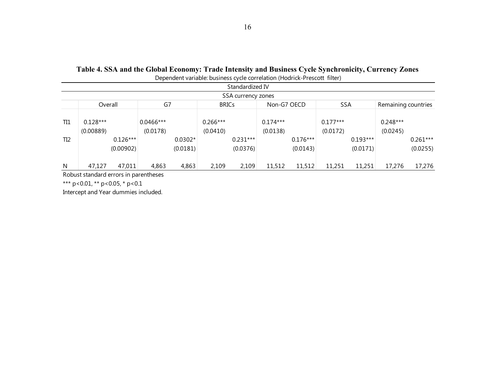| Dependent variable: business cycle correlation (Hodrick-Prescott filter) |  |
|--------------------------------------------------------------------------|--|
|--------------------------------------------------------------------------|--|

|                 | Standardized IV                                                                   |            |                         |           |                        |            |                        |            |                        |            |                        |            |  |  |
|-----------------|-----------------------------------------------------------------------------------|------------|-------------------------|-----------|------------------------|------------|------------------------|------------|------------------------|------------|------------------------|------------|--|--|
|                 | SSA currency zones                                                                |            |                         |           |                        |            |                        |            |                        |            |                        |            |  |  |
|                 | G7<br><b>SSA</b><br><b>BRICs</b><br>Non-G7 OECD<br>Overall<br>Remaining countries |            |                         |           |                        |            |                        |            |                        |            |                        |            |  |  |
| TI1             | $0.128***$<br>(0.00889)                                                           |            | $0.0466***$<br>(0.0178) |           | $0.266***$<br>(0.0410) |            | $0.174***$<br>(0.0138) |            | $0.177***$<br>(0.0172) |            | $0.248***$<br>(0.0245) |            |  |  |
| TI <sub>2</sub> |                                                                                   | $0.126***$ |                         | $0.0302*$ |                        | $0.231***$ |                        | $0.176***$ |                        | $0.193***$ |                        | $0.261***$ |  |  |
|                 |                                                                                   | (0.00902)  |                         | (0.0181)  |                        | (0.0376)   |                        | (0.0143)   |                        | (0.0171)   |                        | (0.0255)   |  |  |
|                 |                                                                                   |            |                         |           |                        |            |                        |            |                        |            |                        |            |  |  |
| N               | 47,127                                                                            | 47,011     | 4,863                   | 4,863     | 2,109                  | 2,109      | 11,512                 | 11,512     | 11,251                 | 11,251     | 17,276                 | 17,276     |  |  |

Robust standard errors in parentheses

\*\*\* p<0.01, \*\* p<0.05, \* p<0.1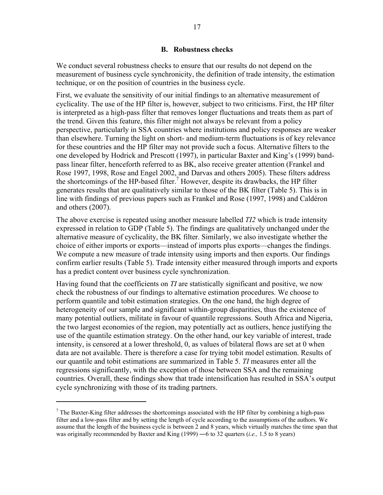### **B. Robustness checks**

We conduct several robustness checks to ensure that our results do not depend on the measurement of business cycle synchronicity, the definition of trade intensity, the estimation technique, or on the position of countries in the business cycle.

First, we evaluate the sensitivity of our initial findings to an alternative measurement of cyclicality. The use of the HP filter is, however, subject to two criticisms. First, the HP filter is interpreted as a high-pass filter that removes longer fluctuations and treats them as part of the trend. Given this feature, this filter might not always be relevant from a policy perspective, particularly in SSA countries where institutions and policy responses are weaker than elsewhere. Turning the light on short- and medium-term fluctuations is of key relevance for these countries and the HP filter may not provide such a focus. Alternative filters to the one developed by Hodrick and Prescott (1997), in particular Baxter and King's (1999) bandpass linear filter, henceforth referred to as BK, also receive greater attention (Frankel and Rose 1997, 1998, Rose and Engel 2002, and Darvas and others 2005). These filters address the shortcomings of the HP-based filter.<sup>7</sup> However, despite its drawbacks, the HP filter generates results that are qualitatively similar to those of the BK filter (Table 5). This is in line with findings of previous papers such as Frankel and Rose (1997, 1998) and Caldéron and others (2007).

The above exercise is repeated using another measure labelled *TI2* which is trade intensity expressed in relation to GDP (Table 5). The findings are qualitatively unchanged under the alternative measure of cyclicality, the BK filter. Similarly, we also investigate whether the choice of either imports or exports—instead of imports plus exports—changes the findings. We compute a new measure of trade intensity using imports and then exports. Our findings confirm earlier results (Table 5). Trade intensity either measured through imports and exports has a predict content over business cycle synchronization.

Having found that the coefficients on *TI* are statistically significant and positive, we now check the robustness of our findings to alternative estimation procedures. We choose to perform quantile and tobit estimation strategies. On the one hand, the high degree of heterogeneity of our sample and significant within-group disparities, thus the existence of many potential outliers, militate in favour of quantile regressions. South Africa and Nigeria, the two largest economies of the region, may potentially act as outliers, hence justifying the use of the quantile estimation strategy. On the other hand, our key variable of interest, trade intensity, is censored at a lower threshold, 0, as values of bilateral flows are set at 0 when data are not available. There is therefore a case for trying tobit model estimation. Results of our quantile and tobit estimations are summarized in Table 5. *TI* measures enter all the regressions significantly, with the exception of those between SSA and the remaining countries. Overall, these findings show that trade intensification has resulted in SSA's output cycle synchronizing with those of its trading partners.

 $<sup>7</sup>$  The Baxter-King filter addresses the shortcomings associated with the HP filter by combining a high-pass</sup> filter and a low-pass filter and by setting the length of cycle according to the assumptions of the authors. We assume that the length of the business cycle is between 2 and 8 years, which virtually matches the time span that was originally recommended by Baxter and King (1999) — 6 to 32 quarters *(i.e.,* 1.5 to 8 years)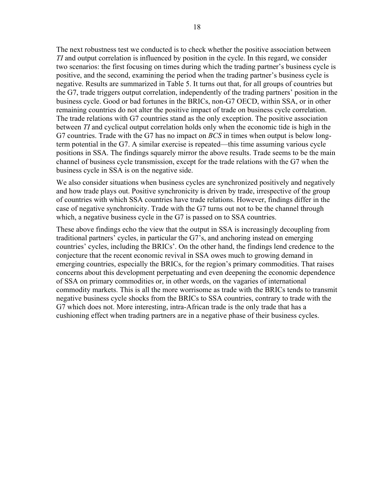The next robustness test we conducted is to check whether the positive association between *TI* and output correlation is influenced by position in the cycle. In this regard, we consider two scenarios: the first focusing on times during which the trading partner's business cycle is positive, and the second, examining the period when the trading partner's business cycle is negative. Results are summarized in Table 5. It turns out that, for all groups of countries but the G7, trade triggers output correlation, independently of the trading partners' position in the business cycle. Good or bad fortunes in the BRICs, non-G7 OECD, within SSA, or in other remaining countries do not alter the positive impact of trade on business cycle correlation. The trade relations with G7 countries stand as the only exception. The positive association between *TI* and cyclical output correlation holds only when the economic tide is high in the G7 countries. Trade with the G7 has no impact on *BCS* in times when output is below longterm potential in the G7. A similar exercise is repeated—this time assuming various cycle positions in SSA. The findings squarely mirror the above results. Trade seems to be the main channel of business cycle transmission, except for the trade relations with the G7 when the business cycle in SSA is on the negative side.

We also consider situations when business cycles are synchronized positively and negatively and how trade plays out. Positive synchronicity is driven by trade, irrespective of the group of countries with which SSA countries have trade relations. However, findings differ in the case of negative synchronicity. Trade with the G7 turns out not to be the channel through which, a negative business cycle in the G7 is passed on to SSA countries.

These above findings echo the view that the output in SSA is increasingly decoupling from traditional partners' cycles, in particular the G7's, and anchoring instead on emerging countries' cycles, including the BRICs'. On the other hand, the findings lend credence to the conjecture that the recent economic revival in SSA owes much to growing demand in emerging countries, especially the BRICs, for the region's primary commodities. That raises concerns about this development perpetuating and even deepening the economic dependence of SSA on primary commodities or, in other words, on the vagaries of international commodity markets. This is all the more worrisome as trade with the BRICs tends to transmit negative business cycle shocks from the BRICs to SSA countries, contrary to trade with the G7 which does not. More interesting, intra-African trade is the only trade that has a cushioning effect when trading partners are in a negative phase of their business cycles.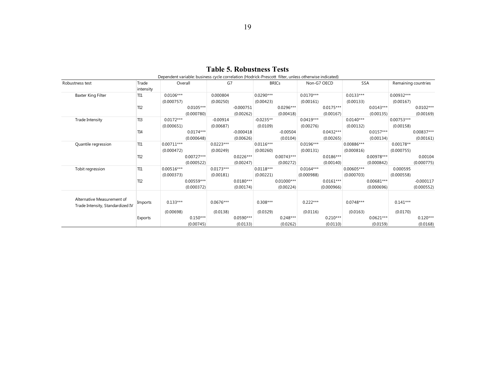|                                  |                 | Dependent variable: business cycle correlation (Hodrick-Prescott Tilter, unless otherwise indicated) |             |             |             |             |              |             |             |              |              |                     |             |
|----------------------------------|-----------------|------------------------------------------------------------------------------------------------------|-------------|-------------|-------------|-------------|--------------|-------------|-------------|--------------|--------------|---------------------|-------------|
| Robustness test                  | Trade           | Overall                                                                                              |             | G7          |             |             | <b>BRICs</b> | Non-G7 OECD |             | SSA          |              | Remaining countries |             |
|                                  | intensity       |                                                                                                      |             |             |             |             |              |             |             |              |              |                     |             |
| Baxter King Filter               | TI1             | $0.0106***$                                                                                          |             | 0.000804    |             | $0.0290***$ |              | $0.0170***$ |             | $0.0133***$  |              | $0.00932***$        |             |
|                                  |                 | (0.000757)                                                                                           |             | (0.00250)   |             | (0.00423)   |              | (0.00161)   |             | (0.00133)    |              | (0.00167)           |             |
|                                  | TI <sub>2</sub> |                                                                                                      | $0.0105***$ |             | $-0.000751$ |             | $0.0296***$  |             | $0.0175***$ |              | $0.0143***$  |                     | $0.0102***$ |
|                                  |                 |                                                                                                      | (0.000780)  |             | (0.00262)   |             | (0.00418)    |             | (0.00167)   |              | (0.00135)    |                     | (0.00169)   |
| Trade Intensity                  | TI3             | $0.0172***$                                                                                          |             | $-0.00914$  |             | $-0.0235**$ |              | $0.0419***$ |             | $0.0140***$  |              | $0.00753***$        |             |
|                                  |                 | (0.000651)                                                                                           |             | (0.00687)   |             | (0.0109)    |              | (0.00276)   |             | (0.00132)    |              | (0.00158)           |             |
|                                  | TI <sub>4</sub> |                                                                                                      | $0.0174***$ |             | $-0.000418$ |             | $-0.00504$   |             | $0.0432***$ |              | $0.0157***$  |                     | 0.00837***  |
|                                  |                 |                                                                                                      | (0.000648)  |             | (0.00626)   |             | (0.0104)     |             | (0.00265)   |              | (0.00134)    |                     | (0.00161)   |
| Quantile regression              | TI1             | $0.00711***$                                                                                         |             | $0.0223***$ |             | $0.0116***$ |              | $0.0196***$ |             | 0.00886***   |              | $0.00178**$         |             |
|                                  |                 | (0.000472)                                                                                           |             | (0.00249)   |             | (0.00260)   |              | (0.00131)   |             | (0.000816)   |              | (0.000755)          |             |
|                                  | TI <sub>2</sub> |                                                                                                      | 0.00727***  |             | $0.0226***$ |             | $0.00743***$ |             | $0.0186***$ |              | 0.00978***   |                     | 0.00104     |
|                                  |                 |                                                                                                      | (0.000522)  |             | (0.00247)   |             | (0.00272)    |             | (0.00140)   |              | (0.000842)   |                     | (0.000775)  |
| Tobit regression                 | TI1             | $0.00516***$                                                                                         |             | $0.0173***$ |             | $0.0118***$ |              | $0.0164***$ |             | $0.00605***$ |              | 0.000595            |             |
|                                  |                 | (0.000373)                                                                                           |             | (0.00181)   |             | (0.00221)   |              | (0.000988)  |             | (0.000703)   |              | (0.000558)          |             |
|                                  | TI <sub>2</sub> |                                                                                                      | 0.00559***  |             | $0.0180***$ |             | $0.01000***$ |             | $0.0161***$ |              | $0.00681***$ |                     | $-0.000117$ |
|                                  |                 |                                                                                                      | (0.000372)  |             | (0.00174)   |             | (0.00224)    |             | (0.000966)  |              | (0.000696)   |                     | (0.000552)  |
|                                  |                 |                                                                                                      |             |             |             |             |              |             |             |              |              |                     |             |
| Alternative Measurement of       |                 |                                                                                                      |             |             |             |             |              |             |             |              |              |                     |             |
| Trade Intensity, Standardized IV | Imports         | $0.133***$                                                                                           |             | $0.0676***$ |             | $0.308***$  |              | $0.222***$  |             | $0.0748***$  |              | $0.141***$          |             |
|                                  |                 | (0.00698)                                                                                            |             | (0.0138)    |             | (0.0329)    |              | (0.0116)    |             | (0.0163)     |              | (0.0170)            |             |
|                                  | Exports         |                                                                                                      | $0.150***$  |             | $0.0590***$ |             | $0.248***$   |             | $0.210***$  |              | $0.0621***$  |                     | $0.120***$  |
|                                  |                 |                                                                                                      | (0.00745)   |             | (0.0133)    |             | (0.0262)     |             | (0.0110)    |              | (0.0159)     |                     | (0.0168)    |

**Table 5. Robustness Tests**

Dependent variable: business cycle correlation (Hodrick-Prescott filter, unless otherwise indicated)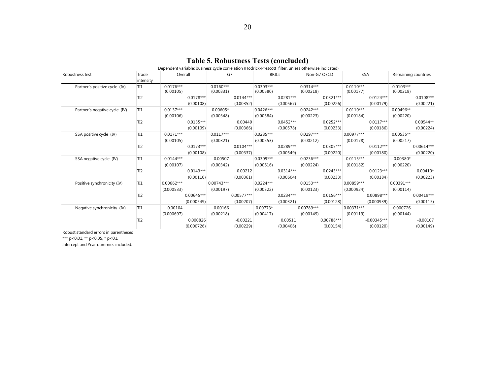|                               |                 | Dependent variable: business cycle correlation (Hodrick-Prescott filter, unless otherwise indicated) |              |              |              |             |              |              |              |               |               |                     |              |
|-------------------------------|-----------------|------------------------------------------------------------------------------------------------------|--------------|--------------|--------------|-------------|--------------|--------------|--------------|---------------|---------------|---------------------|--------------|
| Robustness test               | Trade           | Overall                                                                                              |              | G7           |              |             | <b>BRICs</b> | Non-G7 OECD  |              | SSA           |               | Remaining countries |              |
|                               | intensity       |                                                                                                      |              |              |              |             |              |              |              |               |               |                     |              |
| Partner's positive cycle (IV) | TI1             | $0.0176***$                                                                                          |              | $0.0160***$  |              | $0.0303***$ |              | $0.0314***$  |              | $0.0110***$   |               | $0.0103***$         |              |
|                               |                 | (0.00105)                                                                                            |              | (0.00331)    |              | (0.00580)   |              | (0.00218)    |              | (0.00177)     |               | (0.00218)           |              |
|                               | TI <sub>2</sub> |                                                                                                      | $0.0178***$  |              | $0.0144***$  |             | $0.0281***$  |              | $0.0321***$  |               | $0.0124***$   |                     | $0.0108***$  |
|                               |                 |                                                                                                      | (0.00108)    |              | (0.00352)    |             | (0.00567)    |              | (0.00226)    |               | (0.00179)     |                     | (0.00221)    |
| Partner's negative cycle (IV) | TI1             | $0.0137***$                                                                                          |              | 0.00605*     |              | $0.0426***$ |              | $0.0242***$  |              | $0.0110***$   |               | 0.00496**           |              |
|                               |                 | (0.00106)                                                                                            |              | (0.00348)    |              | (0.00584)   |              | (0.00223)    |              | (0.00184)     |               | (0.00220)           |              |
|                               | TI <sub>2</sub> |                                                                                                      | $0.0135***$  |              | 0.00449      |             | $0.0452***$  |              | $0.0252***$  |               | $0.0117***$   |                     | 0.00544**    |
|                               |                 |                                                                                                      | (0.00109)    |              | (0.00366)    |             | (0.00578)    |              | (0.00233)    |               | (0.00186)     |                     | (0.00224)    |
| SSA positive cycle (IV)       | TI1             | $0.0171***$                                                                                          |              | $0.0117***$  |              | 0.0285***   |              | $0.0297***$  |              | $0.00977***$  |               | 0.00535**           |              |
|                               |                 | (0.00105)                                                                                            |              | (0.00321)    |              | (0.00553)   |              | (0.00212)    |              | (0.00178)     |               | (0.00217)           |              |
|                               | TI <sub>2</sub> |                                                                                                      | $0.0173***$  |              | $0.0104***$  |             | $0.0289***$  |              | $0.0305***$  |               | $0.0112***$   |                     | 0.00614***   |
|                               |                 |                                                                                                      | (0.00108)    |              | (0.00337)    |             | (0.00549)    |              | (0.00220)    |               | (0.00180)     |                     | (0.00220)    |
| SSA negative cycle (IV)       | TI1             | $0.0144***$                                                                                          |              | 0.00507      |              | $0.0309***$ |              | $0.0236***$  |              | $0.0115***$   |               | $0.00380*$          |              |
|                               |                 | (0.00107)                                                                                            |              | (0.00342)    |              | (0.00616)   |              | (0.00224)    |              | (0.00182)     |               | (0.00220)           |              |
|                               | TI <sub>2</sub> |                                                                                                      | $0.0143***$  |              | 0.00212      |             | $0.0314***$  |              | $0.0243***$  |               | $0.0123***$   |                     | $0.00410*$   |
|                               |                 |                                                                                                      | (0.00110)    |              | (0.00361)    |             | (0.00604)    |              | (0.00233)    |               | (0.00184)     |                     | (0.00223)    |
| Positive synchronicity (IV)   | TI1             | $0.00662***$                                                                                         |              | $0.00743***$ |              | $0.0224***$ |              | $0.0153***$  |              | $0.00859***$  |               | 0.00391***          |              |
|                               |                 | (0.000533)                                                                                           |              | (0.00197)    |              | (0.00322)   |              | (0.00123)    |              | (0.000924)    |               | (0.00114)           |              |
|                               | TI <sub>2</sub> |                                                                                                      | $0.00645***$ |              | $0.00577***$ |             | $0.0234***$  |              | $0.0156***$  |               | 0.00898***    |                     | $0.00419***$ |
|                               |                 |                                                                                                      | (0.000549)   |              | (0.00207)    |             | (0.00321)    |              | (0.00128)    |               | (0.000939)    |                     | (0.00115)    |
| Negative synchronicity (IV)   | TI1             | 0.00104                                                                                              |              | $-0.00166$   |              | $0.00773*$  |              | $0.00789***$ |              | $-0.00371***$ |               | $-0.000726$         |              |
|                               |                 | (0.000697)                                                                                           |              | (0.00218)    |              | (0.00417)   |              | (0.00149)    |              | (0.00119)     |               | (0.00144)           |              |
|                               | TI <sub>2</sub> |                                                                                                      | 0.000826     |              | $-0.00221$   |             | 0.00511      |              | $0.00788***$ |               | $-0.00345***$ |                     | $-0.00107$   |
|                               |                 |                                                                                                      | (0.000726)   |              | (0.00229)    |             | (0.00406)    |              | (0.00154)    |               | (0.00120)     |                     | (0.00149)    |

#### **Table 5. Robustness Tests (concluded)**

Robust standard errors in parentheses

\*\*\* p<0.01, \*\* p<0.05, \* p<0.1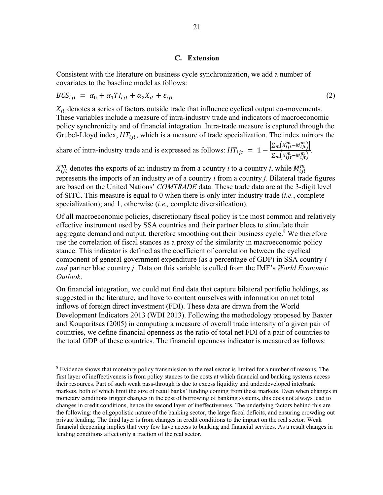## **C. Extension**

Consistent with the literature on business cycle synchronization, we add a number of covariates to the baseline model as follows:

$$
BCS_{ijt} = \alpha_0 + \alpha_1 T I_{ijt} + \alpha_2 X_{it} + \varepsilon_{ijt}
$$
 (2)

 $X_{it}$  denotes a series of factors outside trade that influence cyclical output co-movements. These variables include a measure of intra-industry trade and indicators of macroeconomic policy synchronicity and of financial integration. Intra-trade measure is captured through the Grubel-Lloyd index,  $IIT_{ijt}$ , which is a measure of trade specialization. The index mirrors the

share of intra-industry trade and is expressed as follows:  $IIT_{ijt} = 1 - \frac{\left|\sum_m (X_{ijt}^m - M_{ijt}^m)\right|}{\sum_{k=1}^{\infty} (x_{ijt}^m - M_{ikt}^m)}$  $\frac{\sum_{m} \left( x_{ijt}^m - M_{ijt}^m \right)}{\sum_{m} \left( x_{ijt}^m - M_{ijt}^m \right)}$ .

 $X_{ijt}^m$  denotes the exports of an industry m from a country *i* to a country *j*, while  $M_{ijt}^m$ represents the imports of an industry *m* of a country *i* from a country *j*. Bilateral trade figures are based on the United Nations' *COMTRADE* data. These trade data are at the 3-digit level of SITC. This measure is equal to 0 when there is only inter-industry trade (*i.e.*, complete specialization); and 1, otherwise (*i.e.,* complete diversification).

Of all macroeconomic policies, discretionary fiscal policy is the most common and relatively effective instrument used by SSA countries and their partner blocs to stimulate their aggregate demand and output, therefore smoothing out their business cycle.<sup>8</sup> We therefore use the correlation of fiscal stances as a proxy of the similarity in macroeconomic policy stance. This indicator is defined as the coefficient of correlation between the cyclical component of general government expenditure (as a percentage of GDP) in SSA country *i and* partner bloc country *j*. Data on this variable is culled from the IMF's *World Economic Outlook*.

On financial integration, we could not find data that capture bilateral portfolio holdings, as suggested in the literature, and have to content ourselves with information on net total inflows of foreign direct investment (FDI). These data are drawn from the World Development Indicators 2013 (WDI 2013). Following the methodology proposed by Baxter and Kouparitsas (2005) in computing a measure of overall trade intensity of a given pair of countries, we define financial openness as the ratio of total net FDI of a pair of countries to the total GDP of these countries. The financial openness indicator is measured as follows:

<sup>&</sup>lt;sup>8</sup> Evidence shows that monetary policy transmission to the real sector is limited for a number of reasons. The first layer of ineffectiveness is from policy stances to the costs at which financial and banking systems access their resources. Part of such weak pass-through is due to excess liquidity and underdeveloped interbank markets, both of which limit the size of retail banks' funding coming from these markets. Even when changes in monetary conditions trigger changes in the cost of borrowing of banking systems, this does not always lead to changes in credit conditions, hence the second layer of ineffectiveness. The underlying factors behind this are the following: the oligopolistic nature of the banking sector, the large fiscal deficits, and ensuring crowding out private lending. The third layer is from changes in credit conditions to the impact on the real sector. Weak financial deepening implies that very few have access to banking and financial services. As a result changes in lending conditions affect only a fraction of the real sector.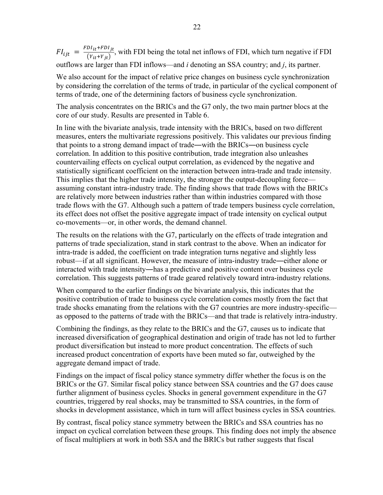$FI_{ijt} = \frac{FDI_{it} + FDI_{jt}}{(Y_{it} + Y_{jt})}$ , with FDI being the total net inflows of FDI, which turn negative if FDI outflows are larger than FDI inflows—and *i* denoting an SSA country; and *j*, its partner.

We also account for the impact of relative price changes on business cycle synchronization by considering the correlation of the terms of trade, in particular of the cyclical component of terms of trade, one of the determining factors of business cycle synchronization.

The analysis concentrates on the BRICs and the G7 only, the two main partner blocs at the core of our study. Results are presented in Table 6.

In line with the bivariate analysis, trade intensity with the BRICs, based on two different measures, enters the multivariate regressions positively. This validates our previous finding that points to a strong demand impact of trade―with the BRICs―on business cycle correlation. In addition to this positive contribution, trade integration also unleashes countervailing effects on cyclical output correlation, as evidenced by the negative and statistically significant coefficient on the interaction between intra-trade and trade intensity. This implies that the higher trade intensity, the stronger the output-decoupling force assuming constant intra-industry trade. The finding shows that trade flows with the BRICs are relatively more between industries rather than within industries compared with those trade flows with the G7. Although such a pattern of trade tempers business cycle correlation, its effect does not offset the positive aggregate impact of trade intensity on cyclical output co-movements—or, in other words, the demand channel.

The results on the relations with the G7, particularly on the effects of trade integration and patterns of trade specialization, stand in stark contrast to the above. When an indicator for intra-trade is added, the coefficient on trade integration turns negative and slightly less robust—if at all significant. However, the measure of intra-industry trade―either alone or interacted with trade intensity―has a predictive and positive content over business cycle correlation. This suggests patterns of trade geared relatively toward intra-industry relations.

When compared to the earlier findings on the bivariate analysis, this indicates that the positive contribution of trade to business cycle correlation comes mostly from the fact that trade shocks emanating from the relations with the G7 countries are more industry-specific as opposed to the patterns of trade with the BRICs—and that trade is relatively intra-industry.

Combining the findings, as they relate to the BRICs and the G7, causes us to indicate that increased diversification of geographical destination and origin of trade has not led to further product diversification but instead to more product concentration. The effects of such increased product concentration of exports have been muted so far, outweighed by the aggregate demand impact of trade.

Findings on the impact of fiscal policy stance symmetry differ whether the focus is on the BRICs or the G7. Similar fiscal policy stance between SSA countries and the G7 does cause further alignment of business cycles. Shocks in general government expenditure in the G7 countries, triggered by real shocks, may be transmitted to SSA countries, in the form of shocks in development assistance, which in turn will affect business cycles in SSA countries.

By contrast, fiscal policy stance symmetry between the BRICs and SSA countries has no impact on cyclical correlation between these groups. This finding does not imply the absence of fiscal multipliers at work in both SSA and the BRICs but rather suggests that fiscal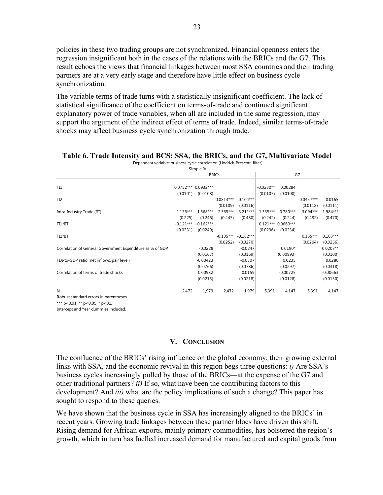policies in these two trading groups are not synchronized. Financial openness enters the regression insignificant both in the cases of the relations with the BRICs and the G7. This result echoes the views that financial linkages between most SSA countries and their trading partners are at a very early stage and therefore have little effect on business cycle synchronization.

The variable terms of trade turns with a statistically insignificant coefficient. The lack of statistical significance of the coefficient on terms-of-trade and continued significant explanatory power of trade variables, when all are included in the same regression, may support the argument of the indirect effect of terms of trade. Indeed, similar terms-of-trade shocks may affect business cycle synchronization through trade.

|                                                           |                                 | Simple IV              |                         |                         |                         |                                |                        |                        |
|-----------------------------------------------------------|---------------------------------|------------------------|-------------------------|-------------------------|-------------------------|--------------------------------|------------------------|------------------------|
|                                                           |                                 |                        | <b>BRICs</b>            |                         |                         |                                | G7                     |                        |
| TI1                                                       | 0.0752*** 0.0932***<br>(0.0101) | (0.0108)               |                         |                         | $-0.0230**$<br>(0.0105) | 0.00284<br>(0.0100)            |                        |                        |
| TI <sub>2</sub>                                           |                                 |                        | $0.0813***$             | $0.104***$              |                         |                                | $-0.0457***$           | $-0.0165$              |
| Intra-Industry Trade (IIT)                                | $-1.156***$                     | -1.568***              | (0.0109)<br>$-2.365***$ | (0.0116)<br>$-3.211***$ | $1.335***$              | $0.780***$                     | (0.0118)<br>$3.094***$ | (0.0111)<br>1.984***   |
| TI1*IIT                                                   | (0.225)<br>$-0.121***$          | (0.246)<br>$-0.162***$ | (0.445)                 | (0.480)                 | (0.242)                 | (0.244)<br>$0.121***0.0660***$ | (0.482)                | (0.470)                |
| $TI2*III$                                                 | (0.0231)                        | (0.0249)               | $-0.135***$             | $-0.182***$             | (0.0236)                | (0.0234)                       | $0.165***$             | $0.103***$             |
| Correlation of General Government Expenditure as % of GDP |                                 | $-0.0228$              | (0.0252)                | (0.0270)<br>$-0.0247$   |                         | $0.0190*$                      | (0.0264)               | (0.0256)<br>$0.0207**$ |
|                                                           |                                 | (0.0167)               |                         | (0.0169)                |                         | (0.00993)                      |                        | (0.0100)               |
| FDI-to-GDP ratio (net inflows, pair level)                |                                 | $-0.00423$<br>(0.0766) |                         | $-0.0307$<br>(0.0786)   |                         | 0.0235<br>(0.0297)             |                        | 0.0280<br>(0.0318)     |
| Correlation of terms of trade shocks                      |                                 | 0.00982<br>(0.0215)    |                         | 0.0159<br>(0.0218)      |                         | $-0.00725$<br>(0.0128)         |                        | $-0.00663$<br>(0.0130) |
|                                                           |                                 |                        |                         |                         |                         |                                |                        |                        |
| N                                                         | 2,472                           | 1,979                  | 2,472                   | 1,979                   | 5,391                   | 4,147                          | 5,391                  | 4,147                  |

#### **Table 6. Trade Intensity and BCS: SSA, the BRICs, and the G7, Multivariate Model** Dependent variable: business cycle correlation (Hodrick-Prescott filter)

Robust standard errors in parentheses

\*\*\* p<0.01, \*\* p<0.05, \* p<0.1

Intercept and Year dummies included.

# **V. CONCLUSION**

The confluence of the BRICs' rising influence on the global economy, their growing external links with SSA, and the economic revival in this region begs three questions: *i)* Are SSA's business cycles increasingly pulled by those of the BRICs―at the expense of the G7 and other traditional partners? *ii)* If so, what have been the contributing factors to this development? And *iii)* what are the policy implications of such a change? This paper has sought to respond to these queries.

We have shown that the business cycle in SSA has increasingly aligned to the BRICs' in recent years. Growing trade linkages between these partner blocs have driven this shift. Rising demand for African exports, mainly primary commodities, has bolstered the region's growth, which in turn has fuelled increased demand for manufactured and capital goods from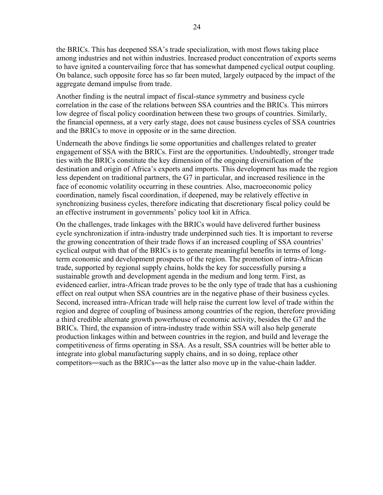the BRICs. This has deepened SSA's trade specialization, with most flows taking place among industries and not within industries. Increased product concentration of exports seems to have ignited a countervailing force that has somewhat dampened cyclical output coupling. On balance, such opposite force has so far been muted, largely outpaced by the impact of the aggregate demand impulse from trade.

Another finding is the neutral impact of fiscal-stance symmetry and business cycle correlation in the case of the relations between SSA countries and the BRICs. This mirrors low degree of fiscal policy coordination between these two groups of countries. Similarly, the financial openness, at a very early stage, does not cause business cycles of SSA countries and the BRICs to move in opposite or in the same direction.

Underneath the above findings lie some opportunities and challenges related to greater engagement of SSA with the BRICs. First are the opportunities. Undoubtedly, stronger trade ties with the BRICs constitute the key dimension of the ongoing diversification of the destination and origin of Africa's exports and imports. This development has made the region less dependent on traditional partners, the G7 in particular, and increased resilience in the face of economic volatility occurring in these countries. Also, macroeconomic policy coordination, namely fiscal coordination, if deepened, may be relatively effective in synchronizing business cycles, therefore indicating that discretionary fiscal policy could be an effective instrument in governments' policy tool kit in Africa.

On the challenges, trade linkages with the BRICs would have delivered further business cycle synchronization if intra-industry trade underpinned such ties. It is important to reverse the growing concentration of their trade flows if an increased coupling of SSA countries' cyclical output with that of the BRICs is to generate meaningful benefits in terms of longterm economic and development prospects of the region. The promotion of intra-African trade, supported by regional supply chains, holds the key for successfully pursing a sustainable growth and development agenda in the medium and long term. First, as evidenced earlier, intra-African trade proves to be the only type of trade that has a cushioning effect on real output when SSA countries are in the negative phase of their business cycles. Second, increased intra-African trade will help raise the current low level of trade within the region and degree of coupling of business among countries of the region, therefore providing a third credible alternate growth powerhouse of economic activity, besides the G7 and the BRICs. Third, the expansion of intra-industry trade within SSA will also help generate production linkages within and between countries in the region, and build and leverage the competitiveness of firms operating in SSA. As a result, SSA countries will be better able to integrate into global manufacturing supply chains, and in so doing, replace other competitors―such as the BRICs―as the latter also move up in the value-chain ladder.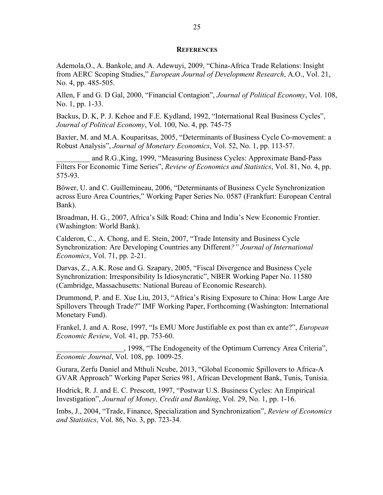#### **REFERENCES**

Ademola,O., A. Bankole, and A. Adewuyi, 2009, "China-Africa Trade Relations: Insight from AERC Scoping Studies," *European Journal of Development Research*, A.O., Vol. 21, No. 4, pp. 485-505.

Allen, F and G. D Gal, 2000, "Financial Contagion", *Journal of Political Economy*, Vol. 108, No. 1, pp. 1-33.

Backus, D. K, P. J. Kehoe and F.E. Kydland, 1992, "International Real Business Cycles", *Journal of Political Economy*, Vol. 100, No. 4, pp. 745-75

Baxter, M. and M.A. Kouparitsas, 2005, "Determinants of Business Cycle Co-movement: a Robust Analysis", *Journal of Monetary Economics*, Vol. 52, No. 1, pp. 113-57.

and R.G., King, 1999, "Measuring Business Cycles: Approximate Band-Pass Filters For Economic Time Series", *Review of Economics and Statistics*, Vol. 81, No. 4, pp. 575-93.

Böwer, U. and C. Guillemineau, 2006, "Determinants of Business Cycle Synchronization across Euro Area Countries," Working Paper Series No. 0587 (Frankfurt: European Central Bank).

Broadman, H. G., 2007, Africa's Silk Road: China and India's New Economic Frontier. (Washington: World Bank).

Calderon, C., A. Chong, and E. Stein, 2007, "Trade Intensity and Business Cycle Synchronization: Are Developing Countries any Different*?" Journal of International Economics*, Vol. 71, pp. 2-21.

Darvas, Z., A.K. Rose and G. Szapary, 2005, "Fiscal Divergence and Business Cycle Synchronization: Irresponsibility Is Idiosyncratic", NBER Working Paper No. 11580 (Cambridge, Massachusetts: National Bureau of Economic Research).

Drummond, P. and E. Xue Liu, 2013, "Africa's Rising Exposure to China: How Large Are Spillovers Through Trade?" IMF Working Paper, Forthcoming (Washington: International Monetary Fund).

Frankel, J. and A. Rose, 1997, "Is EMU More Justifiable ex post than ex ante?", *European Economic Review*, Vol. 41, pp. 753-60.

\_\_\_\_\_\_\_\_\_\_\_\_\_\_\_\_\_\_, 1998, "The Endogeneity of the Optimum Currency Area Criteria", *Economic Journal*, Vol. 108, pp. 1009-25.

Gurara, Zerfu Daniel and Mthuli Ncube, 2013, "Global Economic Spillovers to Africa-A GVAR Approach" Working Paper Series 981, African Development Bank, Tunis, Tunisia.

Hodrick, R. J. and E. C. Prescott, 1997, "Postwar U.S. Business Cycles: An Empirical Investigation", *Journal of Money, Credit and Banking*, Vol. 29, No. 1, pp. 1-16.

Imbs, J., 2004, "Trade, Finance, Specialization and Synchronization", *Review of Economics and Statistics*, Vol. 86, No. 3, pp. 723-34.